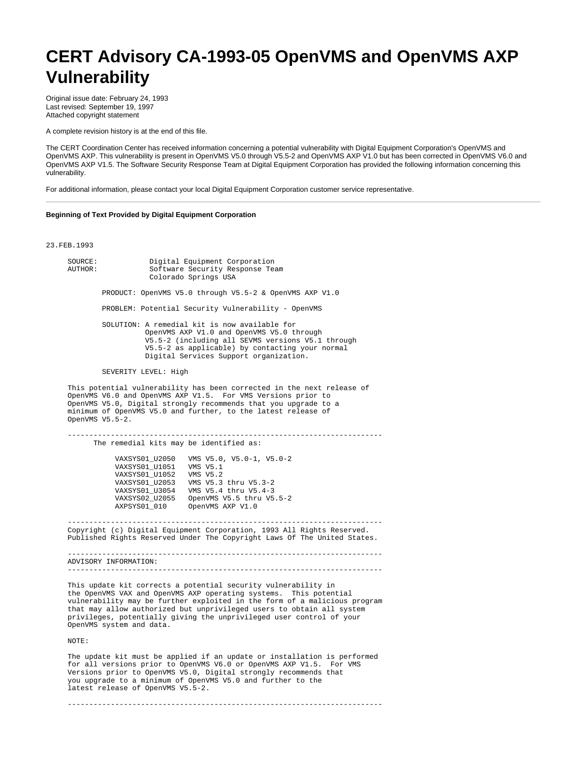## **CERT Advisory CA-1993-05 OpenVMS and OpenVMS AXP Vulnerability**

Original issue date: February 24, 1993 Last revised: September 19, 1997 Attached copyright statement

A complete revision history is at the end of this file.

The CERT Coordination Center has received information concerning a potential vulnerability with Digital Equipment Corporation's OpenVMS and OpenVMS AXP. This vulnerability is present in OpenVMS V5.0 through V5.5-2 and OpenVMS AXP V1.0 but has been corrected in OpenVMS V6.0 and OpenVMS AXP V1.5. The Software Security Response Team at Digital Equipment Corporation has provided the following information concerning this vulnerability.

For additional information, please contact your local Digital Equipment Corporation customer service representative.

## **Beginning of Text Provided by Digital Equipment Corporation**

23.FEB.1993

| SOURCE:<br>AUTHOR: | Digital Equipment Corporation<br>Software Security Response Team<br>Colorado Springs USA                                                                                                                                                                                                                                                                                                      |
|--------------------|-----------------------------------------------------------------------------------------------------------------------------------------------------------------------------------------------------------------------------------------------------------------------------------------------------------------------------------------------------------------------------------------------|
|                    | PRODUCT: OpenVMS V5.0 through V5.5-2 & OpenVMS AXP V1.0                                                                                                                                                                                                                                                                                                                                       |
|                    | PROBLEM: Potential Security Vulnerability - OpenVMS                                                                                                                                                                                                                                                                                                                                           |
|                    | SOLUTION: A remedial kit is now available for<br>OpenVMS AXP V1.0 and OpenVMS V5.0 through<br>V5.5-2 (including all SEVMS versions V5.1 through<br>V5.5-2 as applicable) by contacting your normal<br>Digital Services Support organization.                                                                                                                                                  |
|                    | SEVERITY LEVEL: High                                                                                                                                                                                                                                                                                                                                                                          |
| OpenVMS V5.5-2.    | This potential vulnerability has been corrected in the next release of<br>OpenVMS V6.0 and OpenVMS AXP V1.5. For VMS Versions prior to<br>OpenVMS V5.0, Digital strongly recommends that you upgrade to a<br>minimum of OpenVMS V5.0 and further, to the latest release of                                                                                                                    |
|                    | The remedial kits may be identified as:                                                                                                                                                                                                                                                                                                                                                       |
|                    | VMS V5.0, V5.0-1, V5.0-2<br>VAXSYS01_U2050<br>VAXSYS01_U1051 VMS V5.1<br>VAXSYS01_U1052 VMS V5.2<br>VAXSYS01_U2053 VMS V5.3 thru V5.3-2<br>VAXSYS01 U3054 VMS V5.4 thru V5.4-3<br>VAXSYS02_U2055 OpenVMS V5.5 thru V5.5-2<br>AXPSYS01_010 OpenVMS AXP V1.0                                                                                                                                    |
|                    | Copyright (c) Digital Equipment Corporation, 1993 All Rights Reserved.<br>Published Rights Reserved Under The Copyright Laws Of The United States.                                                                                                                                                                                                                                            |
|                    | ADVISORY INFORMATION:                                                                                                                                                                                                                                                                                                                                                                         |
|                    | This update kit corrects a potential security vulnerability in<br>the OpenVMS VAX and OpenVMS AXP operating systems. This potential<br>vulnerability may be further exploited in the form of a malicious program<br>that may allow authorized but unprivileged users to obtain all system<br>privileges, potentially giving the unprivileged user control of your<br>OpenVMS system and data. |
| NOTE:              |                                                                                                                                                                                                                                                                                                                                                                                               |
|                    | The update kit must be applied if an update or installation is performed                                                                                                                                                                                                                                                                                                                      |

 for all versions prior to OpenVMS V6.0 or OpenVMS AXP V1.5. For VMS Versions prior to OpenVMS V5.0, Digital strongly recommends that you upgrade to a minimum of OpenVMS V5.0 and further to the latest release of OpenVMS V5.5-2.

-------------------------------------------------------------------------